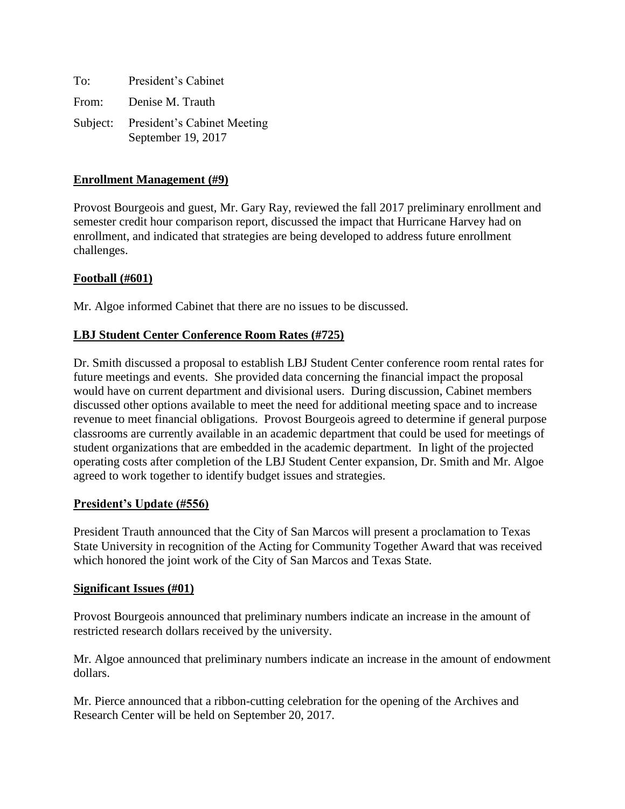| To:   | President's Cabinet                                        |
|-------|------------------------------------------------------------|
| From: | Denise M. Trauth                                           |
|       | Subject: President's Cabinet Meeting<br>September 19, 2017 |

## **Enrollment Management (#9)**

Provost Bourgeois and guest, Mr. Gary Ray, reviewed the fall 2017 preliminary enrollment and semester credit hour comparison report, discussed the impact that Hurricane Harvey had on enrollment, and indicated that strategies are being developed to address future enrollment challenges.

## **Football (#601)**

Mr. Algoe informed Cabinet that there are no issues to be discussed.

### **LBJ Student Center Conference Room Rates (#725)**

Dr. Smith discussed a proposal to establish LBJ Student Center conference room rental rates for future meetings and events. She provided data concerning the financial impact the proposal would have on current department and divisional users. During discussion, Cabinet members discussed other options available to meet the need for additional meeting space and to increase revenue to meet financial obligations. Provost Bourgeois agreed to determine if general purpose classrooms are currently available in an academic department that could be used for meetings of student organizations that are embedded in the academic department. In light of the projected operating costs after completion of the LBJ Student Center expansion, Dr. Smith and Mr. Algoe agreed to work together to identify budget issues and strategies.

### **President's Update (#556)**

President Trauth announced that the City of San Marcos will present a proclamation to Texas State University in recognition of the Acting for Community Together Award that was received which honored the joint work of the City of San Marcos and Texas State.

### **Significant Issues (#01)**

Provost Bourgeois announced that preliminary numbers indicate an increase in the amount of restricted research dollars received by the university.

Mr. Algoe announced that preliminary numbers indicate an increase in the amount of endowment dollars.

Mr. Pierce announced that a ribbon-cutting celebration for the opening of the Archives and Research Center will be held on September 20, 2017.